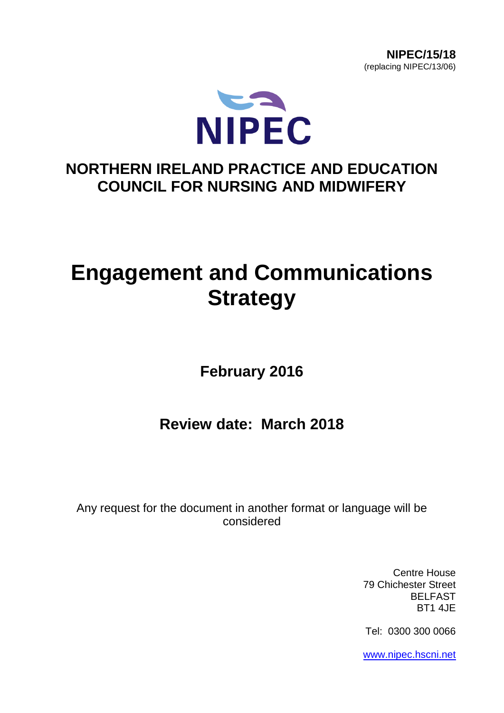



# **NORTHERN IRELAND PRACTICE AND EDUCATION COUNCIL FOR NURSING AND MIDWIFERY**

# **Engagement and Communications Strategy**

**February 2016**

**Review date: March 2018**

Any request for the document in another format or language will be considered

> Centre House 79 Chichester Street BELFAST BT1 4JE

Tel: 0300 300 0066

[www.nipec.hscni.net](http://www.nipec.hscni.net/)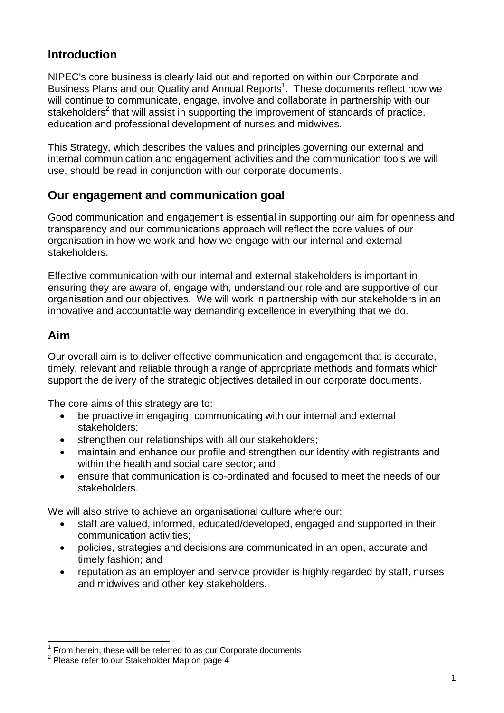# **Introduction**

NIPEC's core business is clearly laid out and reported on within our Corporate and Business Plans and our Quality and Annual Reports<sup>1</sup>. These documents reflect how we will continue to communicate, engage, involve and collaborate in partnership with our stakeholders<sup>2</sup> that will assist in supporting the improvement of standards of practice, education and professional development of nurses and midwives.

This Strategy, which describes the values and principles governing our external and internal communication and engagement activities and the communication tools we will use, should be read in conjunction with our corporate documents.

#### **Our engagement and communication goal**

Good communication and engagement is essential in supporting our aim for openness and transparency and our communications approach will reflect the core values of our organisation in how we work and how we engage with our internal and external stakeholders.

Effective communication with our internal and external stakeholders is important in ensuring they are aware of, engage with, understand our role and are supportive of our organisation and our objectives. We will work in partnership with our stakeholders in an innovative and accountable way demanding excellence in everything that we do.

#### **Aim**

Our overall aim is to deliver effective communication and engagement that is accurate, timely, relevant and reliable through a range of appropriate methods and formats which support the delivery of the strategic objectives detailed in our corporate documents.

The core aims of this strategy are to:

- be proactive in engaging, communicating with our internal and external stakeholders;
- strengthen our relationships with all our stakeholders;
- maintain and enhance our profile and strengthen our identity with registrants and within the health and social care sector; and
- ensure that communication is co-ordinated and focused to meet the needs of our stakeholders.

We will also strive to achieve an organisational culture where our:

- staff are valued, informed, educated/developed, engaged and supported in their communication activities;
- policies, strategies and decisions are communicated in an open, accurate and timely fashion; and
- reputation as an employer and service provider is highly regarded by staff, nurses and midwives and other key stakeholders.

<sup>-</sup>1 From herein, these will be referred to as our Corporate documents

 $2$  Please refer to our Stakeholder Map on page 4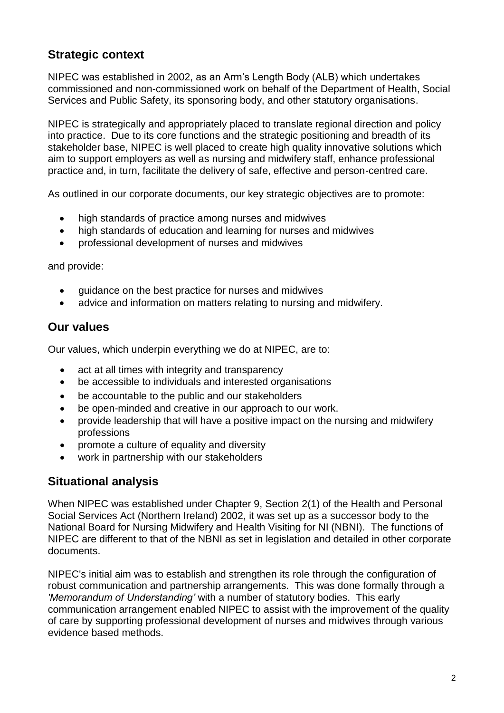# **Strategic context**

NIPEC was established in 2002, as an Arm's Length Body (ALB) which undertakes commissioned and non-commissioned work on behalf of the Department of Health, Social Services and Public Safety, its sponsoring body, and other statutory organisations.

NIPEC is strategically and appropriately placed to translate regional direction and policy into practice. Due to its core functions and the strategic positioning and breadth of its stakeholder base, NIPEC is well placed to create high quality innovative solutions which aim to support employers as well as nursing and midwifery staff, enhance professional practice and, in turn, facilitate the delivery of safe, effective and person-centred care.

As outlined in our corporate documents, our key strategic objectives are to promote:

- high standards of practice among nurses and midwives
- high standards of education and learning for nurses and midwives
- professional development of nurses and midwives

and provide:

- guidance on the best practice for nurses and midwives
- advice and information on matters relating to nursing and midwifery.

#### **Our values**

Our values, which underpin everything we do at NIPEC, are to:

- act at all times with integrity and transparency
- be accessible to individuals and interested organisations
- be accountable to the public and our stakeholders
- be open-minded and creative in our approach to our work.
- provide leadership that will have a positive impact on the nursing and midwifery professions
- promote a culture of equality and diversity
- work in partnership with our stakeholders

#### **Situational analysis**

When NIPEC was established under Chapter 9, Section 2(1) of the Health and Personal Social Services Act (Northern Ireland) 2002, it was set up as a successor body to the National Board for Nursing Midwifery and Health Visiting for NI (NBNI). The functions of NIPEC are different to that of the NBNI as set in legislation and detailed in other corporate documents.

NIPEC's initial aim was to establish and strengthen its role through the configuration of robust communication and partnership arrangements. This was done formally through a *'Memorandum of Understanding'* with a number of statutory bodies. This early communication arrangement enabled NIPEC to assist with the improvement of the quality of care by supporting professional development of nurses and midwives through various evidence based methods.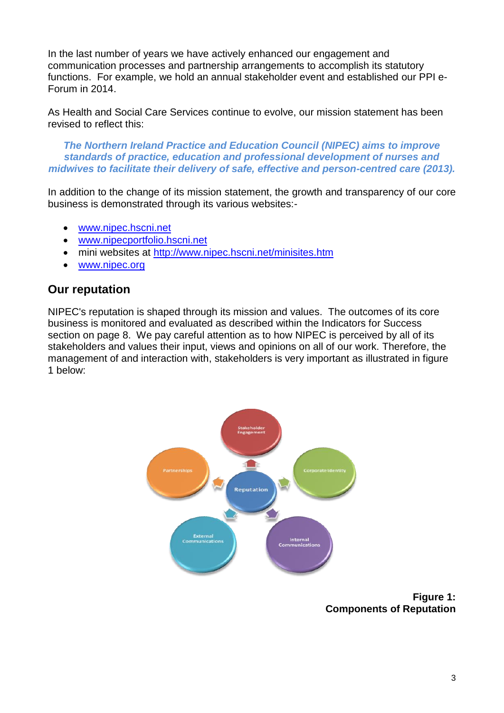In the last number of years we have actively enhanced our engagement and communication processes and partnership arrangements to accomplish its statutory functions. For example, we hold an annual stakeholder event and established our PPI e-Forum in 2014.

As Health and Social Care Services continue to evolve, our mission statement has been revised to reflect this:

*The Northern Ireland Practice and Education Council (NIPEC) aims to improve standards of practice, education and professional development of nurses and midwives to facilitate their delivery of safe, effective and person-centred care (2013).*

In addition to the change of its mission statement, the growth and transparency of our core business is demonstrated through its various websites:-

- [www.nipec.hscni.net](http://www.nipec.hscni.net/)
- [www.nipecportfolio.hscni.net](http://www.nipecportfolio.hscni.net/)
- mini websites at<http://www.nipec.hscni.net/minisites.htm>
- [www.nipec.org](http://www.nipec.org/)

#### **Our reputation**

NIPEC's reputation is shaped through its mission and values. The outcomes of its core business is monitored and evaluated as described within the Indicators for Success section on page 8. We pay careful attention as to how NIPEC is perceived by all of its stakeholders and values their input, views and opinions on all of our work. Therefore, the management of and interaction with, stakeholders is very important as illustrated in figure 1 below:



**Figure 1: Components of Reputation**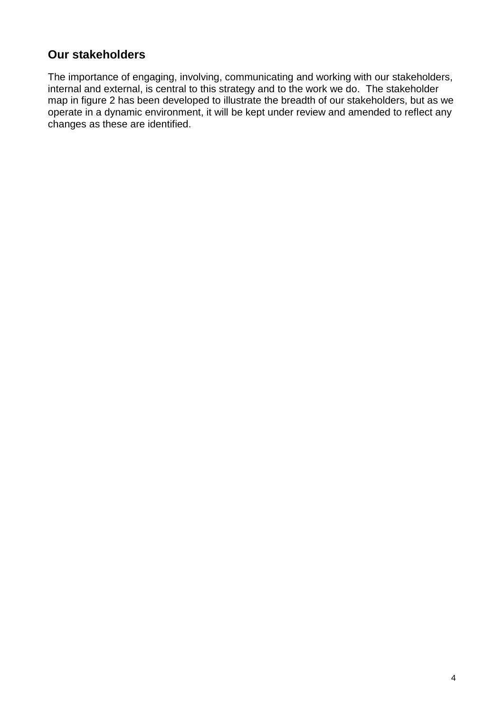# **Our stakeholders**

The importance of engaging, involving, communicating and working with our stakeholders, internal and external, is central to this strategy and to the work we do. The stakeholder map in figure 2 has been developed to illustrate the breadth of our stakeholders, but as we operate in a dynamic environment, it will be kept under review and amended to reflect any changes as these are identified.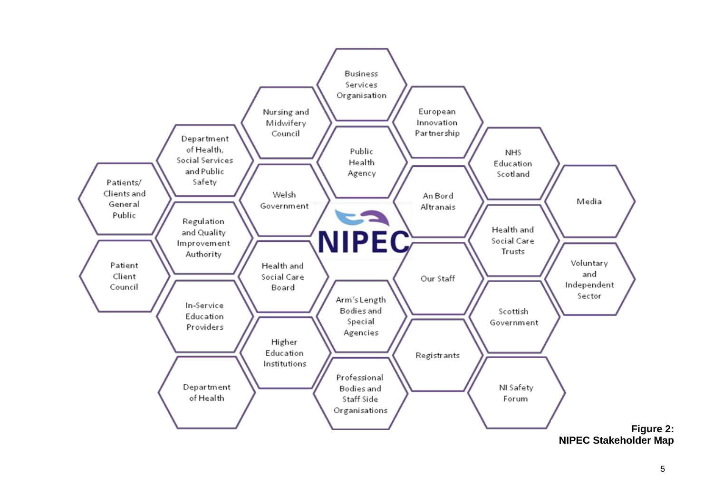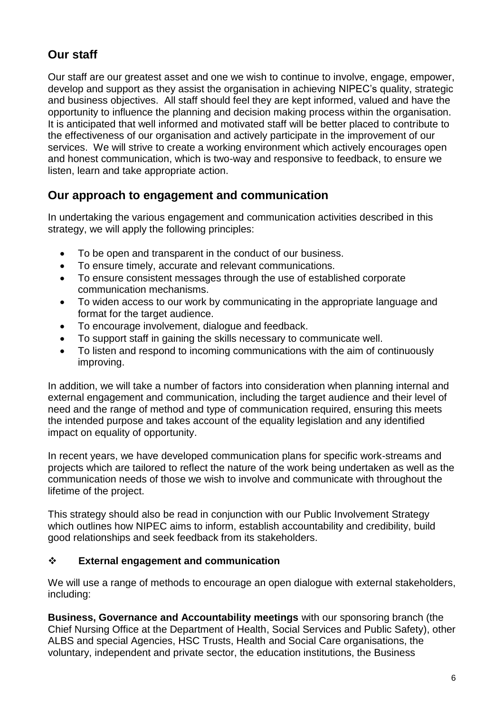# **Our staff**

Our staff are our greatest asset and one we wish to continue to involve, engage, empower, develop and support as they assist the organisation in achieving NIPEC's quality, strategic and business objectives. All staff should feel they are kept informed, valued and have the opportunity to influence the planning and decision making process within the organisation. It is anticipated that well informed and motivated staff will be better placed to contribute to the effectiveness of our organisation and actively participate in the improvement of our services. We will strive to create a working environment which actively encourages open and honest communication, which is two-way and responsive to feedback, to ensure we listen, learn and take appropriate action.

# **Our approach to engagement and communication**

In undertaking the various engagement and communication activities described in this strategy, we will apply the following principles:

- To be open and transparent in the conduct of our business.
- To ensure timely, accurate and relevant communications.
- To ensure consistent messages through the use of established corporate communication mechanisms.
- To widen access to our work by communicating in the appropriate language and format for the target audience.
- To encourage involvement, dialogue and feedback.
- To support staff in gaining the skills necessary to communicate well.
- To listen and respond to incoming communications with the aim of continuously improving.

In addition, we will take a number of factors into consideration when planning internal and external engagement and communication, including the target audience and their level of need and the range of method and type of communication required, ensuring this meets the intended purpose and takes account of the equality legislation and any identified impact on equality of opportunity.

In recent years, we have developed communication plans for specific work-streams and projects which are tailored to reflect the nature of the work being undertaken as well as the communication needs of those we wish to involve and communicate with throughout the lifetime of the project.

This strategy should also be read in conjunction with our Public Involvement Strategy which outlines how NIPEC aims to inform, establish accountability and credibility, build good relationships and seek feedback from its stakeholders.

#### **External engagement and communication**

We will use a range of methods to encourage an open dialogue with external stakeholders, including:

**Business, Governance and Accountability meetings** with our sponsoring branch (the Chief Nursing Office at the Department of Health, Social Services and Public Safety), other ALBS and special Agencies, HSC Trusts, Health and Social Care organisations, the voluntary, independent and private sector, the education institutions, the Business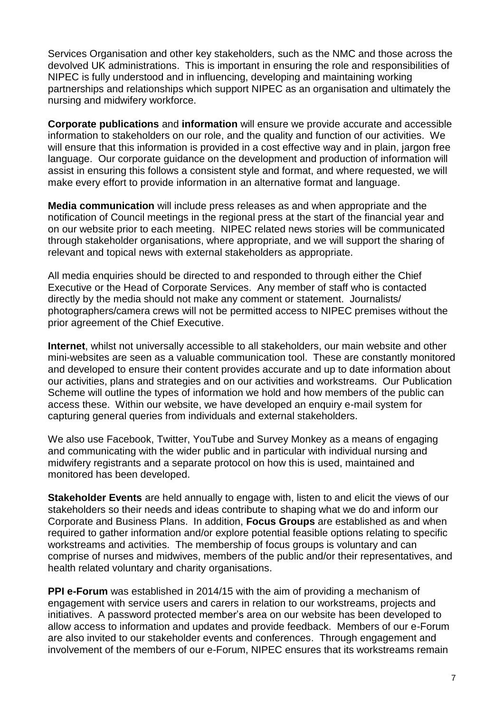Services Organisation and other key stakeholders, such as the NMC and those across the devolved UK administrations. This is important in ensuring the role and responsibilities of NIPEC is fully understood and in influencing, developing and maintaining working partnerships and relationships which support NIPEC as an organisation and ultimately the nursing and midwifery workforce.

**Corporate publications** and **information** will ensure we provide accurate and accessible information to stakeholders on our role, and the quality and function of our activities. We will ensure that this information is provided in a cost effective way and in plain, jargon free language. Our corporate guidance on the development and production of information will assist in ensuring this follows a consistent style and format, and where requested, we will make every effort to provide information in an alternative format and language.

**Media communication** will include press releases as and when appropriate and the notification of Council meetings in the regional press at the start of the financial year and on our website prior to each meeting. NIPEC related news stories will be communicated through stakeholder organisations, where appropriate, and we will support the sharing of relevant and topical news with external stakeholders as appropriate.

All media enquiries should be directed to and responded to through either the Chief Executive or the Head of Corporate Services. Any member of staff who is contacted directly by the media should not make any comment or statement. Journalists/ photographers/camera crews will not be permitted access to NIPEC premises without the prior agreement of the Chief Executive.

**Internet**, whilst not universally accessible to all stakeholders, our main website and other mini-websites are seen as a valuable communication tool. These are constantly monitored and developed to ensure their content provides accurate and up to date information about our activities, plans and strategies and on our activities and workstreams. Our Publication Scheme will outline the types of information we hold and how members of the public can access these. Within our website, we have developed an enquiry e-mail system for capturing general queries from individuals and external stakeholders.

We also use Facebook, Twitter, YouTube and Survey Monkey as a means of engaging and communicating with the wider public and in particular with individual nursing and midwifery registrants and a separate protocol on how this is used, maintained and monitored has been developed.

**Stakeholder Events** are held annually to engage with, listen to and elicit the views of our stakeholders so their needs and ideas contribute to shaping what we do and inform our Corporate and Business Plans. In addition, **Focus Groups** are established as and when required to gather information and/or explore potential feasible options relating to specific workstreams and activities. The membership of focus groups is voluntary and can comprise of nurses and midwives, members of the public and/or their representatives, and health related voluntary and charity organisations.

**PPI e-Forum** was established in 2014/15 with the aim of providing a mechanism of engagement with service users and carers in relation to our workstreams, projects and initiatives. A password protected member's area on our website has been developed to allow access to information and updates and provide feedback. Members of our e-Forum are also invited to our stakeholder events and conferences. Through engagement and involvement of the members of our e-Forum, NIPEC ensures that its workstreams remain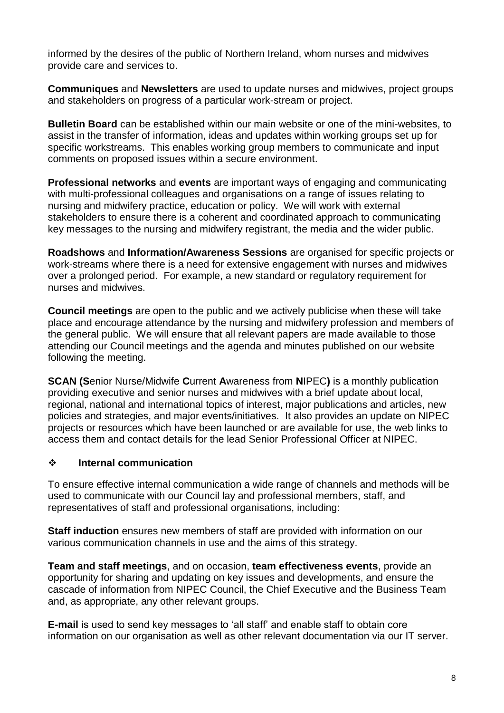informed by the desires of the public of Northern Ireland, whom nurses and midwives provide care and services to.

**Communiques** and **Newsletters** are used to update nurses and midwives, project groups and stakeholders on progress of a particular work-stream or project.

**Bulletin Board** can be established within our main website or one of the mini-websites, to assist in the transfer of information, ideas and updates within working groups set up for specific workstreams. This enables working group members to communicate and input comments on proposed issues within a secure environment.

**Professional networks** and **events** are important ways of engaging and communicating with multi-professional colleagues and organisations on a range of issues relating to nursing and midwifery practice, education or policy. We will work with external stakeholders to ensure there is a coherent and coordinated approach to communicating key messages to the nursing and midwifery registrant, the media and the wider public.

**Roadshows** and **Information/Awareness Sessions** are organised for specific projects or work-streams where there is a need for extensive engagement with nurses and midwives over a prolonged period. For example, a new standard or regulatory requirement for nurses and midwives.

**Council meetings** are open to the public and we actively publicise when these will take place and encourage attendance by the nursing and midwifery profession and members of the general public. We will ensure that all relevant papers are made available to those attending our Council meetings and the agenda and minutes published on our website following the meeting.

**SCAN (S**enior Nurse/Midwife **C**urrent **A**wareness from **N**IPEC**)** is a monthly publication providing executive and senior nurses and midwives with a brief update about local, regional, national and international topics of interest, major publications and articles, new policies and strategies, and major events/initiatives. It also provides an update on NIPEC projects or resources which have been launched or are available for use, the web links to access them and contact details for the lead Senior Professional Officer at NIPEC.

#### **Internal communication**

To ensure effective internal communication a wide range of channels and methods will be used to communicate with our Council lay and professional members, staff, and representatives of staff and professional organisations, including:

**Staff induction** ensures new members of staff are provided with information on our various communication channels in use and the aims of this strategy.

**Team and staff meetings**, and on occasion, **team effectiveness events**, provide an opportunity for sharing and updating on key issues and developments, and ensure the cascade of information from NIPEC Council, the Chief Executive and the Business Team and, as appropriate, any other relevant groups.

**E-mail** is used to send key messages to 'all staff' and enable staff to obtain core information on our organisation as well as other relevant documentation via our IT server.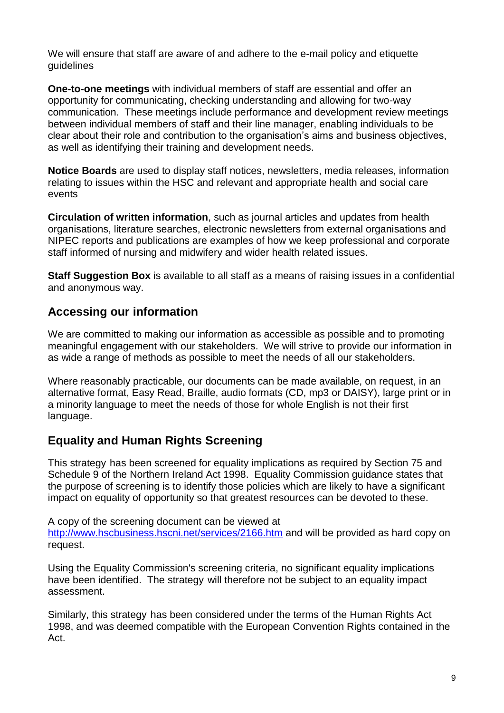We will ensure that staff are aware of and adhere to the e-mail policy and etiquette guidelines

**One-to-one meetings** with individual members of staff are essential and offer an opportunity for communicating, checking understanding and allowing for two-way communication. These meetings include performance and development review meetings between individual members of staff and their line manager, enabling individuals to be clear about their role and contribution to the organisation's aims and business objectives, as well as identifying their training and development needs.

**Notice Boards** are used to display staff notices, newsletters, media releases, information relating to issues within the HSC and relevant and appropriate health and social care events

**Circulation of written information**, such as journal articles and updates from health organisations, literature searches, electronic newsletters from external organisations and NIPEC reports and publications are examples of how we keep professional and corporate staff informed of nursing and midwifery and wider health related issues.

**Staff Suggestion Box** is available to all staff as a means of raising issues in a confidential and anonymous way.

# **Accessing our information**

We are committed to making our information as accessible as possible and to promoting meaningful engagement with our stakeholders. We will strive to provide our information in as wide a range of methods as possible to meet the needs of all our stakeholders.

Where reasonably practicable, our documents can be made available, on request, in an alternative format, Easy Read, Braille, audio formats (CD, mp3 or DAISY), large print or in a minority language to meet the needs of those for whole English is not their first language.

# **Equality and Human Rights Screening**

This strategy has been screened for equality implications as required by Section 75 and Schedule 9 of the Northern Ireland Act 1998. Equality Commission guidance states that the purpose of screening is to identify those policies which are likely to have a significant impact on equality of opportunity so that greatest resources can be devoted to these.

A copy of the screening document can be viewed at

<http://www.hscbusiness.hscni.net/services/2166.htm> and will be provided as hard copy on request.

Using the Equality Commission's screening criteria, no significant equality implications have been identified. The strategy will therefore not be subject to an equality impact assessment.

Similarly, this strategy has been considered under the terms of the Human Rights Act 1998, and was deemed compatible with the European Convention Rights contained in the Act.